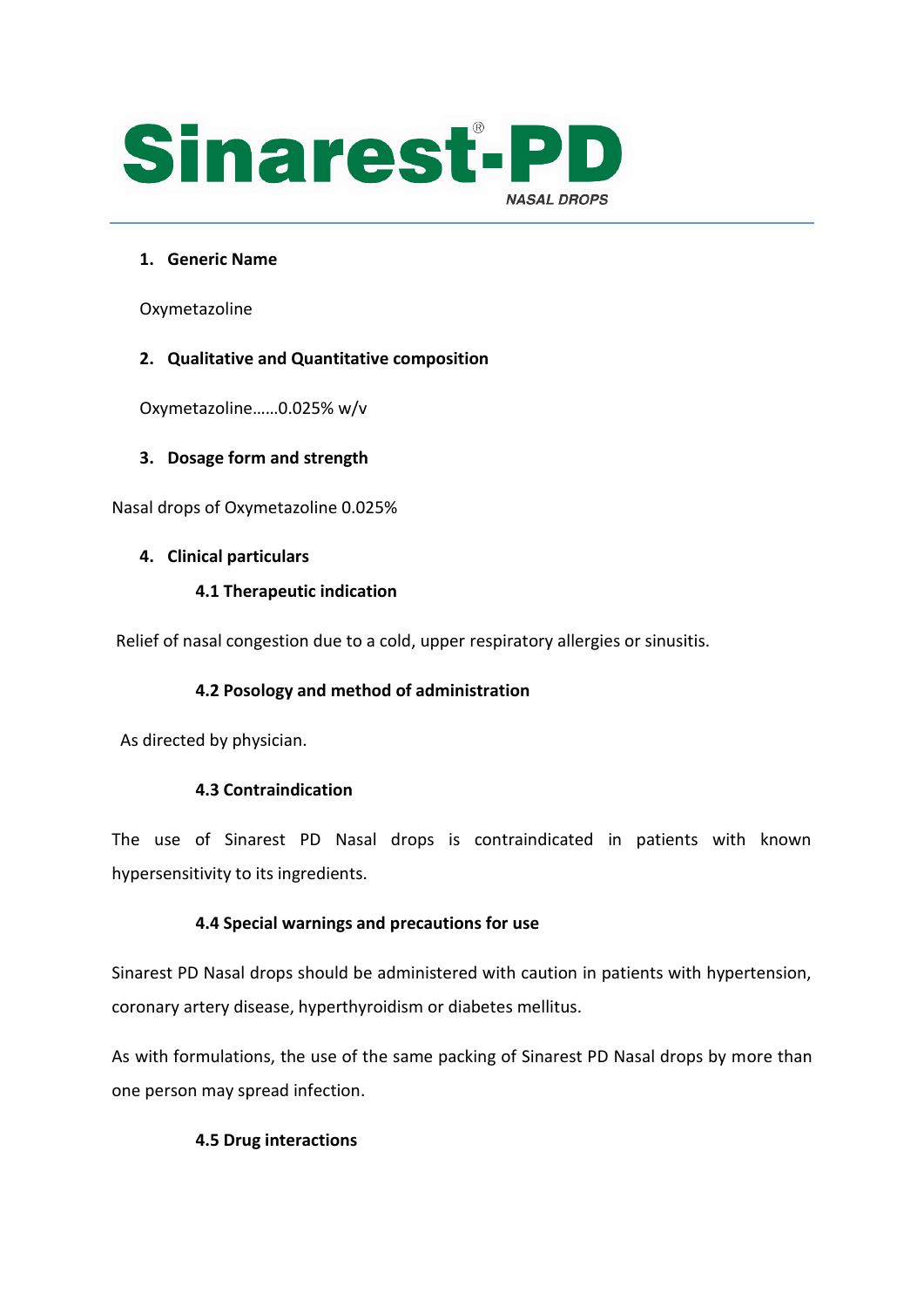

## **1. Generic Name**

Oxymetazoline

## **2. Qualitative and Quantitative composition**

Oxymetazoline……0.025% w/v

#### **3. Dosage form and strength**

Nasal drops of Oxymetazoline 0.025%

#### **4. Clinical particulars**

#### **4.1 Therapeutic indication**

Relief of nasal congestion due to a cold, upper respiratory allergies or sinusitis.

# **4.2 Posology and method of administration**

As directed by physician.

#### **4.3 Contraindication**

The use of Sinarest PD Nasal drops is contraindicated in patients with known hypersensitivity to its ingredients.

#### **4.4 Special warnings and precautions for use**

Sinarest PD Nasal drops should be administered with caution in patients with hypertension, coronary artery disease, hyperthyroidism or diabetes mellitus.

As with formulations, the use of the same packing of Sinarest PD Nasal drops by more than one person may spread infection.

#### **4.5 Drug interactions**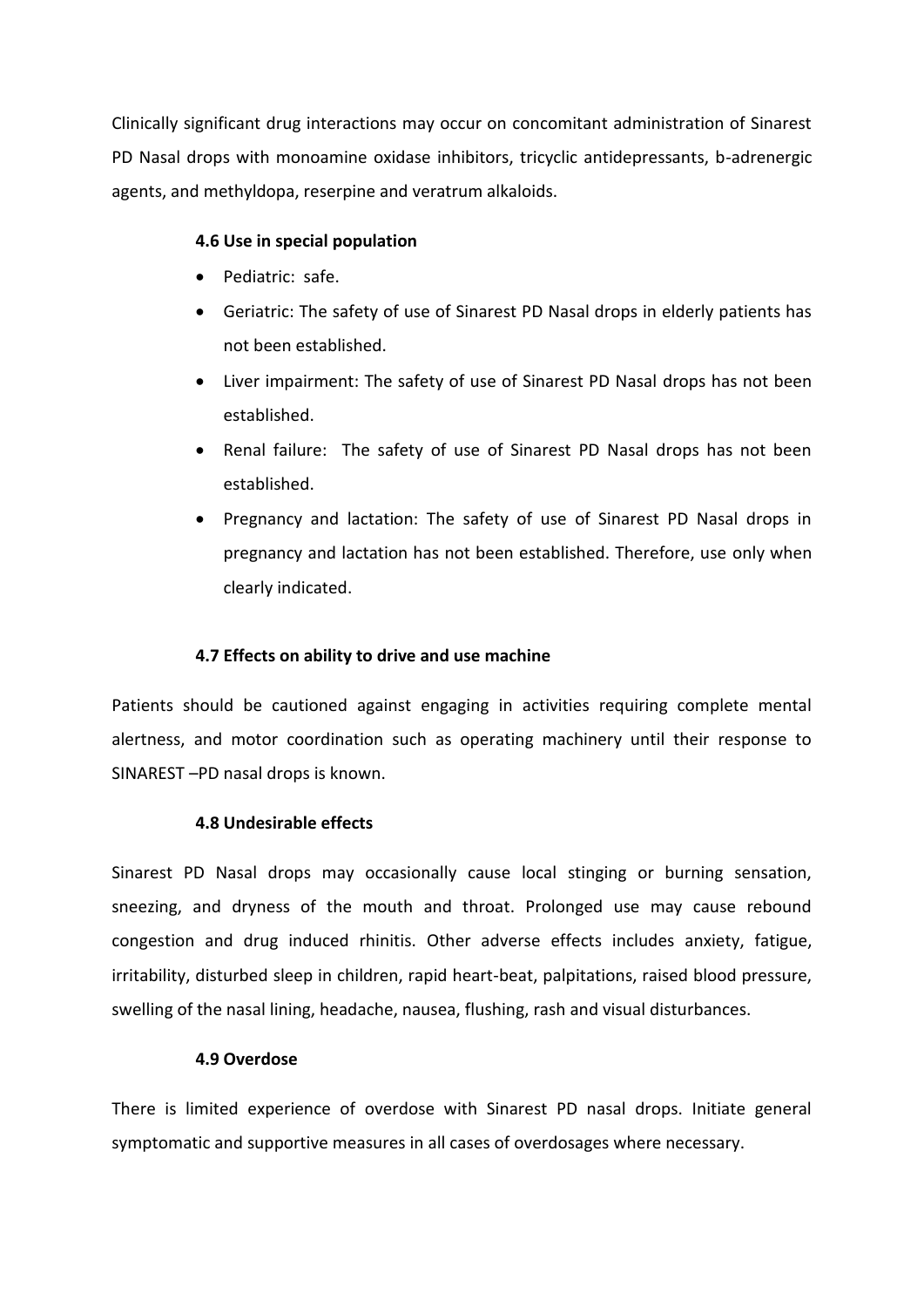Clinically significant drug interactions may occur on concomitant administration of Sinarest PD Nasal drops with monoamine oxidase inhibitors, tricyclic antidepressants, b-adrenergic agents, and methyldopa, reserpine and veratrum alkaloids.

#### **4.6 Use in special population**

- Pediatric: safe.
- Geriatric: The safety of use of Sinarest PD Nasal drops in elderly patients has not been established.
- Liver impairment: The safety of use of Sinarest PD Nasal drops has not been established.
- Renal failure: The safety of use of Sinarest PD Nasal drops has not been established.
- Pregnancy and lactation: The safety of use of Sinarest PD Nasal drops in pregnancy and lactation has not been established. Therefore, use only when clearly indicated.

#### **4.7 Effects on ability to drive and use machine**

Patients should be cautioned against engaging in activities requiring complete mental alertness, and motor coordination such as operating machinery until their response to SINAREST –PD nasal drops is known.

#### **4.8 Undesirable effects**

Sinarest PD Nasal drops may occasionally cause local stinging or burning sensation, sneezing, and dryness of the mouth and throat. Prolonged use may cause rebound congestion and drug induced rhinitis. Other adverse effects includes anxiety, fatigue, irritability, disturbed sleep in children, rapid heart-beat, palpitations, raised blood pressure, swelling of the nasal lining, headache, nausea, flushing, rash and visual disturbances.

#### **4.9 Overdose**

There is limited experience of overdose with Sinarest PD nasal drops. Initiate general symptomatic and supportive measures in all cases of overdosages where necessary.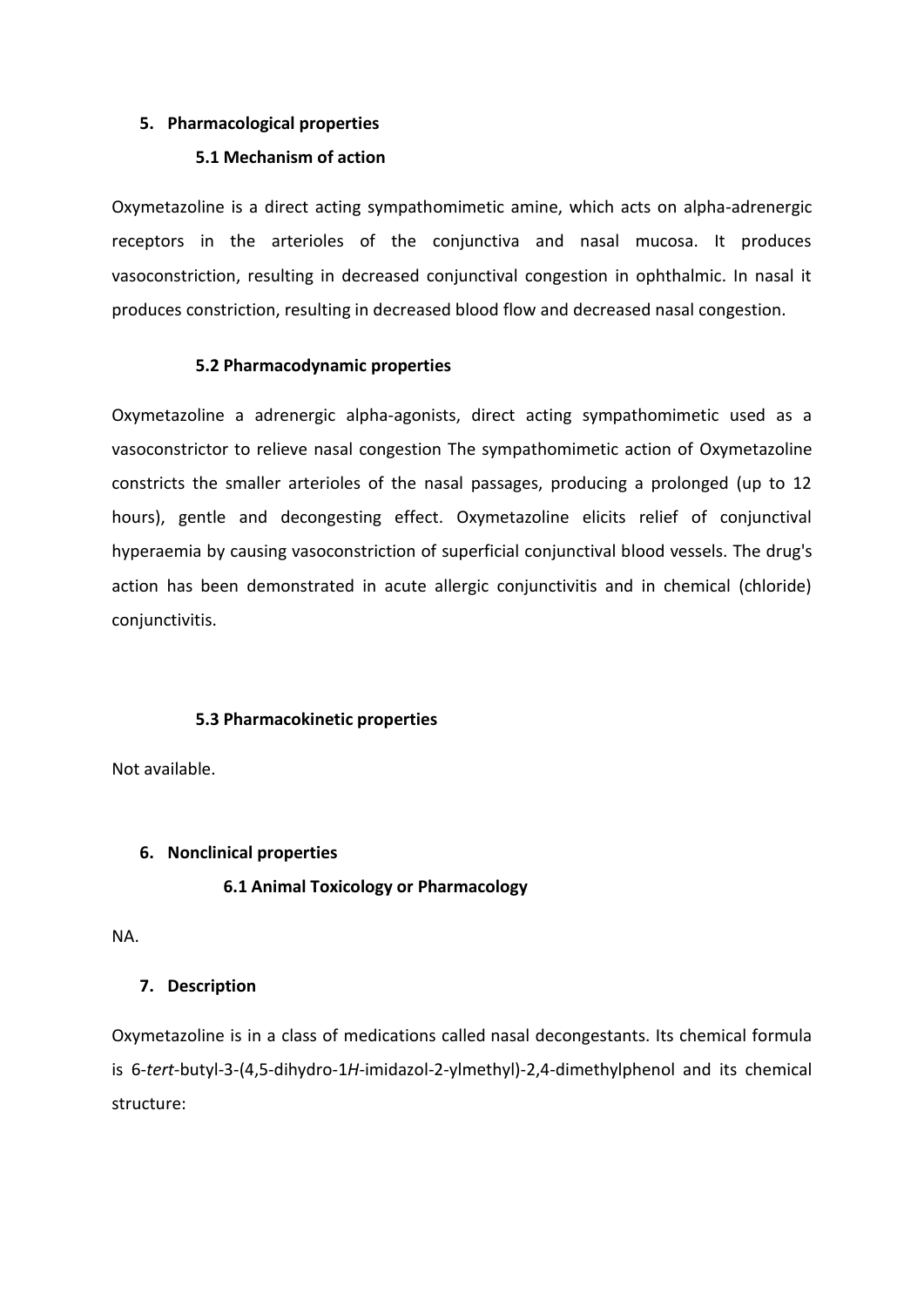#### **5. Pharmacological properties**

#### **5.1 Mechanism of action**

Oxymetazoline is a direct acting sympathomimetic amine, which acts on alpha-adrenergic receptors in the arterioles of the conjunctiva and nasal mucosa. It produces vasoconstriction, resulting in decreased conjunctival congestion in ophthalmic. In nasal it produces constriction, resulting in decreased blood flow and decreased nasal congestion.

## **5.2 Pharmacodynamic properties**

Oxymetazoline a adrenergic alpha-agonists, direct acting sympathomimetic used as a vasoconstrictor to relieve nasal congestion The sympathomimetic action of Oxymetazoline constricts the smaller arterioles of the nasal passages, producing a prolonged (up to 12 hours), gentle and decongesting effect. Oxymetazoline elicits relief of conjunctival hyperaemia by causing vasoconstriction of superficial conjunctival blood vessels. The drug's action has been demonstrated in acute allergic conjunctivitis and in chemical (chloride) conjunctivitis.

# **5.3 Pharmacokinetic properties**

Not available.

# **6. Nonclinical properties**

# **6.1 Animal Toxicology or Pharmacology**

NA.

# **7. Description**

Oxymetazoline is in a class of medications called nasal decongestants. Its chemical formula is 6-*tert*-butyl-3-(4,5-dihydro-1*H*-imidazol-2-ylmethyl)-2,4-dimethylphenol and its chemical structure: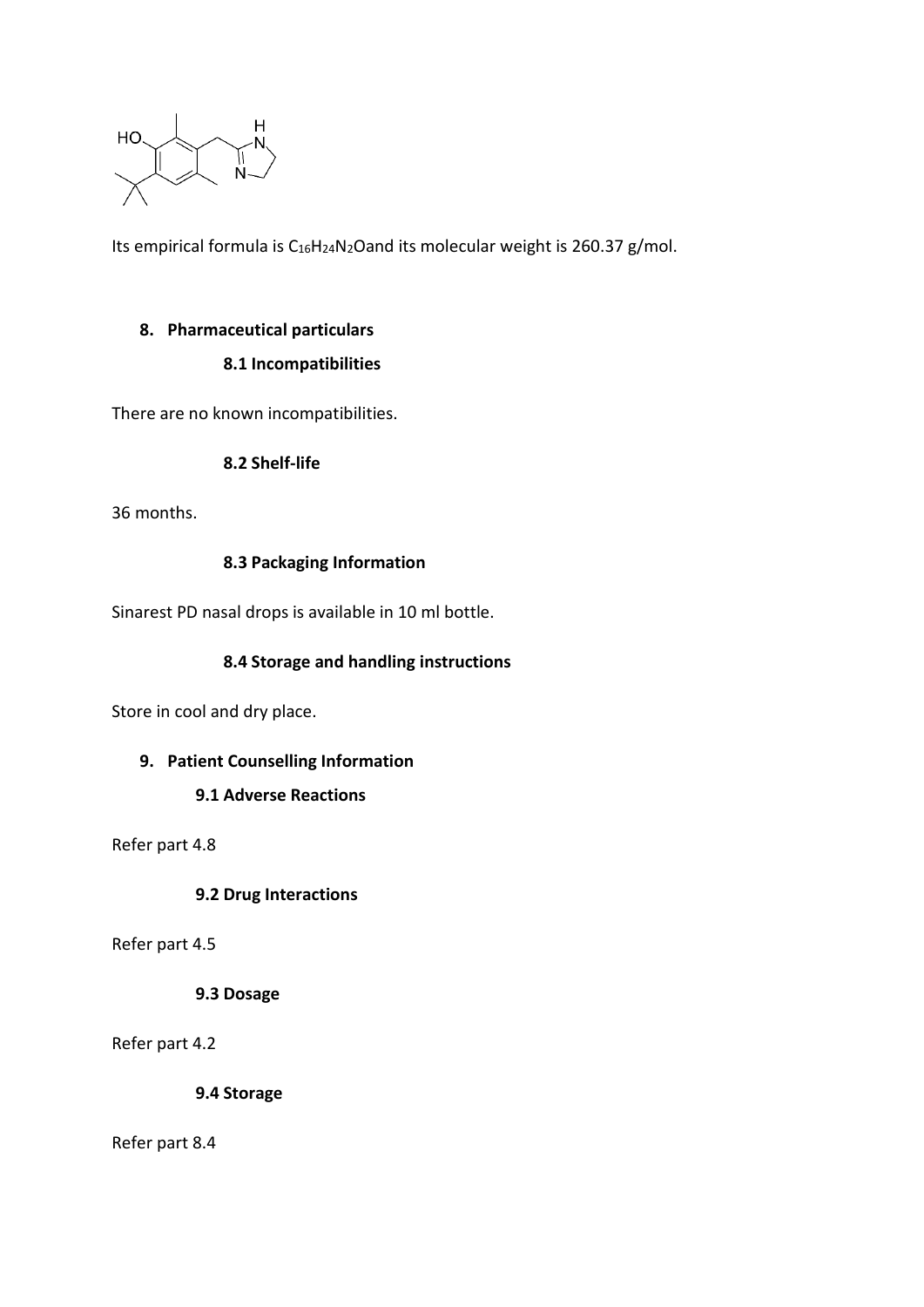

Its empirical formula is C<sub>16</sub>H<sub>24</sub>N<sub>2</sub>Oand its molecular weight is 260.37 g/mol.

## **8. Pharmaceutical particulars**

# **8.1 Incompatibilities**

There are no known incompatibilities.

## **8.2 Shelf-life**

36 months.

## **8.3 Packaging Information**

Sinarest PD nasal drops is available in 10 ml bottle.

## **8.4 Storage and handling instructions**

Store in cool and dry place.

# **9. Patient Counselling Information**

# **9.1 Adverse Reactions**

Refer part 4.8

**9.2 Drug Interactions**

Refer part 4.5

#### **9.3 Dosage**

Refer part 4.2

**9.4 Storage**

Refer part 8.4